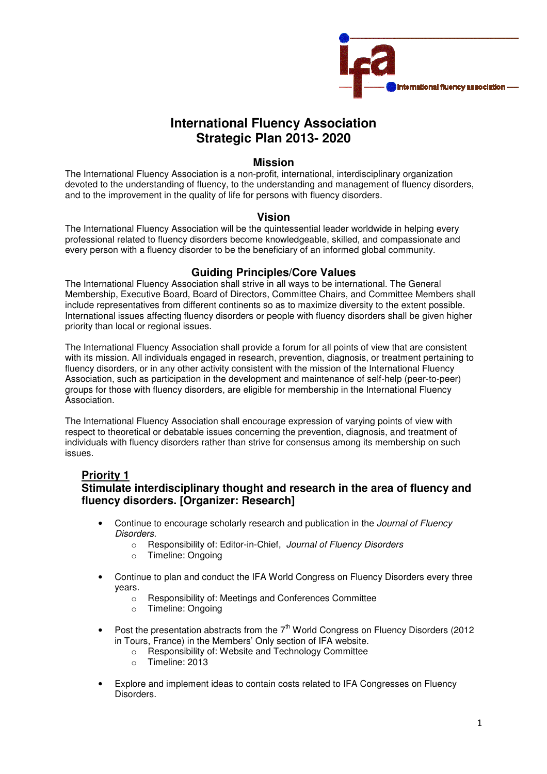

# **International Fluency Association Strategic Plan 2013- 2020**

#### **Mission**

The International Fluency Association is a non-profit, international, interdisciplinary organization devoted to the understanding of fluency, to the understanding and management of fluency disorders, and to the improvement in the quality of life for persons with fluency disorders.

#### **Vision**

The International Fluency Association will be the quintessential leader worldwide in helping every professional related to fluency disorders become knowledgeable, skilled, and compassionate and every person with a fluency disorder to be the beneficiary of an informed global community.

#### **Guiding Principles/Core Values**

The International Fluency Association shall strive in all ways to be international. The General Membership, Executive Board, Board of Directors, Committee Chairs, and Committee Members shall include representatives from different continents so as to maximize diversity to the extent possible. International issues affecting fluency disorders or people with fluency disorders shall be given higher priority than local or regional issues.

The International Fluency Association shall provide a forum for all points of view that are consistent with its mission. All individuals engaged in research, prevention, diagnosis, or treatment pertaining to fluency disorders, or in any other activity consistent with the mission of the International Fluency Association, such as participation in the development and maintenance of self-help (peer-to-peer) groups for those with fluency disorders, are eligible for membership in the International Fluency Association.

The International Fluency Association shall encourage expression of varying points of view with respect to theoretical or debatable issues concerning the prevention, diagnosis, and treatment of individuals with fluency disorders rather than strive for consensus among its membership on such issues.

### **Priority 1**

## **Stimulate interdisciplinary thought and research in the area of fluency and fluency disorders. [Organizer: Research]**

- Continue to encourage scholarly research and publication in the *Journal of Fluency* Disorders.
	- o Responsibility of: Editor-in-Chief, Journal of Fluency Disorders
	- o Timeline: Ongoing
- Continue to plan and conduct the IFA World Congress on Fluency Disorders every three years.
	- o Responsibility of: Meetings and Conferences Committee
	- o Timeline: Ongoing
- Post the presentation abstracts from the  $7<sup>th</sup>$  World Congress on Fluency Disorders (2012) in Tours, France) in the Members' Only section of IFA website.
	- o Responsibility of: Website and Technology Committee
	- o Timeline: 2013
- Explore and implement ideas to contain costs related to IFA Congresses on Fluency Disorders.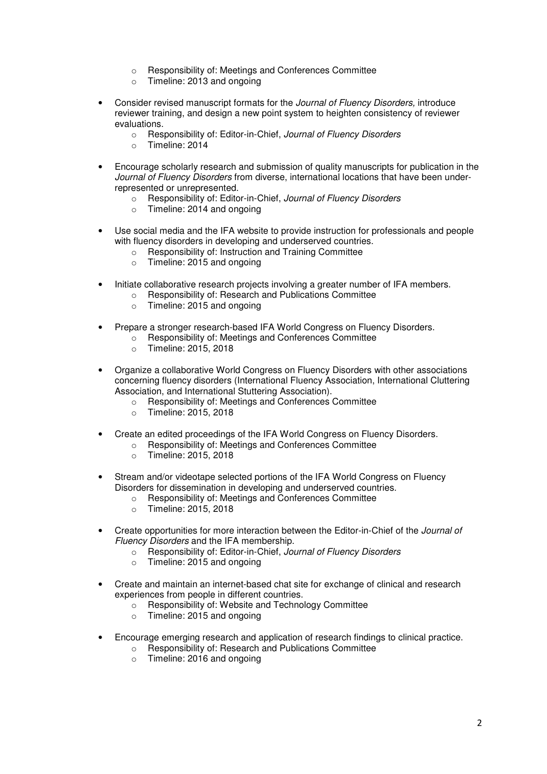- o Responsibility of: Meetings and Conferences Committee
- o Timeline: 2013 and ongoing
- Consider revised manuscript formats for the Journal of Fluency Disorders, introduce reviewer training, and design a new point system to heighten consistency of reviewer evaluations.
	- o Responsibility of: Editor-in-Chief, Journal of Fluency Disorders
	- o Timeline: 2014
- Encourage scholarly research and submission of quality manuscripts for publication in the Journal of Fluency Disorders from diverse, international locations that have been underrepresented or unrepresented.
	- o Responsibility of: Editor-in-Chief, Journal of Fluency Disorders
	- o Timeline: 2014 and ongoing
- Use social media and the IFA website to provide instruction for professionals and people with fluency disorders in developing and underserved countries.
	- o Responsibility of: Instruction and Training Committee
	- o Timeline: 2015 and ongoing
- Initiate collaborative research projects involving a greater number of IFA members.
	- o Responsibility of: Research and Publications Committee
	- o Timeline: 2015 and ongoing
- Prepare a stronger research-based IFA World Congress on Fluency Disorders.
	- Responsibility of: Meetings and Conferences Committee
	- o Timeline: 2015, 2018
- Organize a collaborative World Congress on Fluency Disorders with other associations concerning fluency disorders (International Fluency Association, International Cluttering Association, and International Stuttering Association).
	- o Responsibility of: Meetings and Conferences Committee
	- o Timeline: 2015, 2018
- Create an edited proceedings of the IFA World Congress on Fluency Disorders.
	- o Responsibility of: Meetings and Conferences Committee
	- o Timeline: 2015, 2018
- Stream and/or videotape selected portions of the IFA World Congress on Fluency Disorders for dissemination in developing and underserved countries.
	- o Responsibility of: Meetings and Conferences Committee
	- o Timeline: 2015, 2018
- Create opportunities for more interaction between the Editor-in-Chief of the *Journal of* Fluency Disorders and the IFA membership.
	- o Responsibility of: Editor-in-Chief, Journal of Fluency Disorders
	- o Timeline: 2015 and ongoing
- Create and maintain an internet-based chat site for exchange of clinical and research experiences from people in different countries.
	- o Responsibility of: Website and Technology Committee
	- o Timeline: 2015 and ongoing
- Encourage emerging research and application of research findings to clinical practice.
	- o Responsibility of: Research and Publications Committee
	- o Timeline: 2016 and ongoing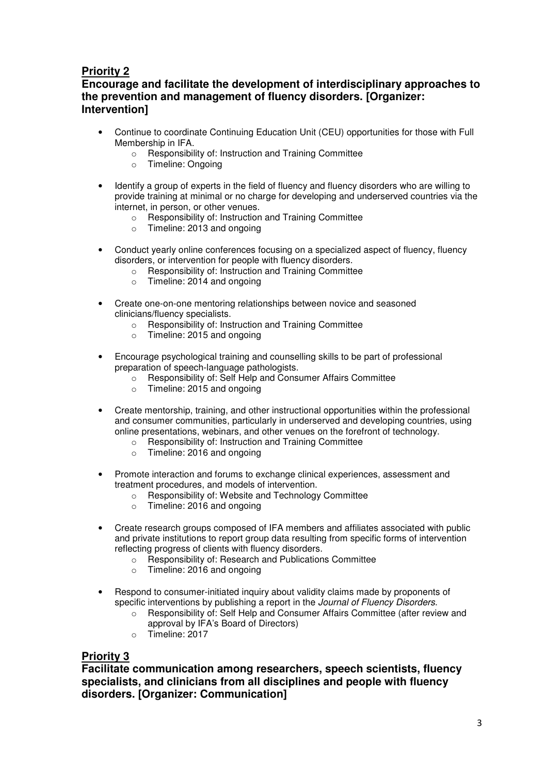## **Priority 2**

**Encourage and facilitate the development of interdisciplinary approaches to the prevention and management of fluency disorders. [Organizer: Intervention]** 

- Continue to coordinate Continuing Education Unit (CEU) opportunities for those with Full Membership in IFA.
	- o Responsibility of: Instruction and Training Committee
	- o Timeline: Ongoing
- Identify a group of experts in the field of fluency and fluency disorders who are willing to provide training at minimal or no charge for developing and underserved countries via the internet, in person, or other venues.
	- o Responsibility of: Instruction and Training Committee
	- o Timeline: 2013 and ongoing
- Conduct yearly online conferences focusing on a specialized aspect of fluency, fluency disorders, or intervention for people with fluency disorders.
	- o Responsibility of: Instruction and Training Committee
	- o Timeline: 2014 and ongoing
- Create one-on-one mentoring relationships between novice and seasoned clinicians/fluency specialists.
	- o Responsibility of: Instruction and Training Committee
	- o Timeline: 2015 and ongoing
- Encourage psychological training and counselling skills to be part of professional preparation of speech-language pathologists.
	- o Responsibility of: Self Help and Consumer Affairs Committee
	- $\circ$  Timeline: 2015 and ongoing
- Create mentorship, training, and other instructional opportunities within the professional and consumer communities, particularly in underserved and developing countries, using online presentations, webinars, and other venues on the forefront of technology.
	- o Responsibility of: Instruction and Training Committee
	- o Timeline: 2016 and ongoing
- Promote interaction and forums to exchange clinical experiences, assessment and treatment procedures, and models of intervention.
	- o Responsibility of: Website and Technology Committee
	- o Timeline: 2016 and ongoing
- Create research groups composed of IFA members and affiliates associated with public and private institutions to report group data resulting from specific forms of intervention reflecting progress of clients with fluency disorders.
	- o Responsibility of: Research and Publications Committee
	- o Timeline: 2016 and ongoing
- Respond to consumer-initiated inquiry about validity claims made by proponents of specific interventions by publishing a report in the *Journal of Fluency Disorders*.
	- o Responsibility of: Self Help and Consumer Affairs Committee (after review and approval by IFA's Board of Directors)
	- o Timeline: 2017

### **Priority 3**

**Facilitate communication among researchers, speech scientists, fluency specialists, and clinicians from all disciplines and people with fluency disorders. [Organizer: Communication]**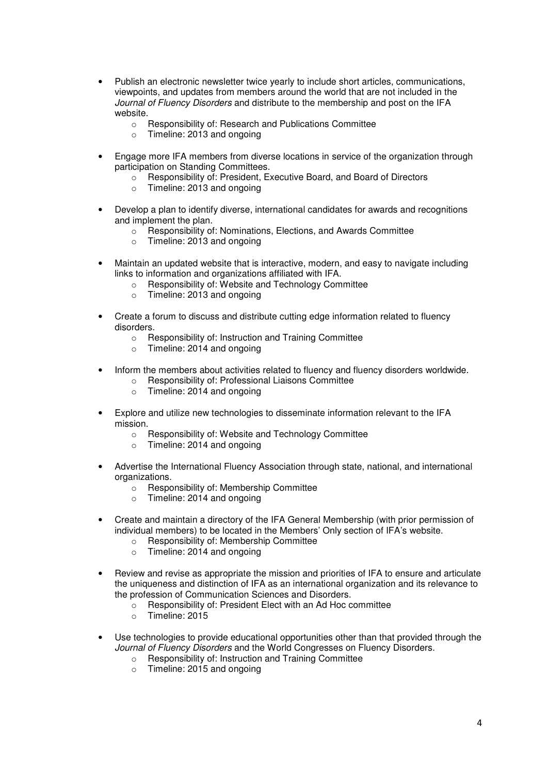- Publish an electronic newsletter twice yearly to include short articles, communications, viewpoints, and updates from members around the world that are not included in the Journal of Fluency Disorders and distribute to the membership and post on the IFA website.
	- o Responsibility of: Research and Publications Committee
	- o Timeline: 2013 and ongoing
- Engage more IFA members from diverse locations in service of the organization through participation on Standing Committees.
	- o Responsibility of: President, Executive Board, and Board of Directors
	- o Timeline: 2013 and ongoing
- Develop a plan to identify diverse, international candidates for awards and recognitions and implement the plan.
	- o Responsibility of: Nominations, Elections, and Awards Committee
	- o Timeline: 2013 and ongoing
- Maintain an updated website that is interactive, modern, and easy to navigate including links to information and organizations affiliated with IFA.
	- o Responsibility of: Website and Technology Committee
	- o Timeline: 2013 and ongoing
- Create a forum to discuss and distribute cutting edge information related to fluency disorders.
	- o Responsibility of: Instruction and Training Committee
	- o Timeline: 2014 and ongoing
- Inform the members about activities related to fluency and fluency disorders worldwide.
	- o Responsibility of: Professional Liaisons Committee
		- $\circ$  Timeline: 2014 and ongoing
- Explore and utilize new technologies to disseminate information relevant to the IFA mission.
	- o Responsibility of: Website and Technology Committee
	- o Timeline: 2014 and ongoing
- Advertise the International Fluency Association through state, national, and international organizations.
	- o Responsibility of: Membership Committee
	- o Timeline: 2014 and ongoing
- Create and maintain a directory of the IFA General Membership (with prior permission of individual members) to be located in the Members' Only section of IFA's website.
	- o Responsibility of: Membership Committee
	- o Timeline: 2014 and ongoing
- Review and revise as appropriate the mission and priorities of IFA to ensure and articulate the uniqueness and distinction of IFA as an international organization and its relevance to the profession of Communication Sciences and Disorders.
	- o Responsibility of: President Elect with an Ad Hoc committee
	- o Timeline: 2015
- Use technologies to provide educational opportunities other than that provided through the Journal of Fluency Disorders and the World Congresses on Fluency Disorders.
	- o Responsibility of: Instruction and Training Committee
	- o Timeline: 2015 and ongoing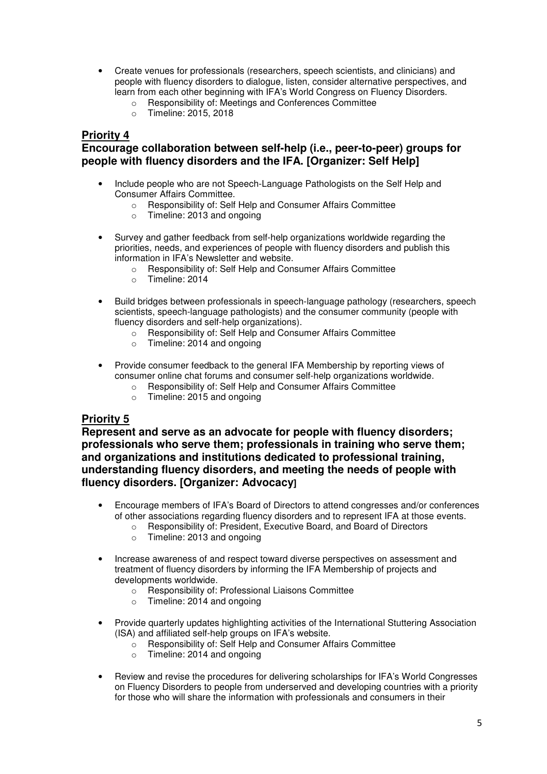- Create venues for professionals (researchers, speech scientists, and clinicians) and people with fluency disorders to dialogue, listen, consider alternative perspectives, and learn from each other beginning with IFA's World Congress on Fluency Disorders.
	- o Responsibility of: Meetings and Conferences Committee
	- o Timeline: 2015, 2018

## **Priority 4**

### **Encourage collaboration between self-help (i.e., peer-to-peer) groups for people with fluency disorders and the IFA. [Organizer: Self Help]**

- Include people who are not Speech-Language Pathologists on the Self Help and Consumer Affairs Committee.
	- o Responsibility of: Self Help and Consumer Affairs Committee
	- o Timeline: 2013 and ongoing
- Survey and gather feedback from self-help organizations worldwide regarding the priorities, needs, and experiences of people with fluency disorders and publish this information in IFA's Newsletter and website.
	- o Responsibility of: Self Help and Consumer Affairs Committee
	- o Timeline: 2014
- Build bridges between professionals in speech-language pathology (researchers, speech scientists, speech-language pathologists) and the consumer community (people with fluency disorders and self-help organizations).
	- o Responsibility of: Self Help and Consumer Affairs Committee
	- o Timeline: 2014 and ongoing
- Provide consumer feedback to the general IFA Membership by reporting views of consumer online chat forums and consumer self-help organizations worldwide.
	- o Responsibility of: Self Help and Consumer Affairs Committee
	- o Timeline: 2015 and ongoing

### **Priority 5**

**Represent and serve as an advocate for people with fluency disorders; professionals who serve them; professionals in training who serve them; and organizations and institutions dedicated to professional training, understanding fluency disorders, and meeting the needs of people with fluency disorders. [Organizer: Advocacy]** 

- Encourage members of IFA's Board of Directors to attend congresses and/or conferences of other associations regarding fluency disorders and to represent IFA at those events.
	- o Responsibility of: President, Executive Board, and Board of Directors
	- o Timeline: 2013 and ongoing
- Increase awareness of and respect toward diverse perspectives on assessment and treatment of fluency disorders by informing the IFA Membership of projects and developments worldwide.
	- o Responsibility of: Professional Liaisons Committee
	- o Timeline: 2014 and ongoing
- Provide quarterly updates highlighting activities of the International Stuttering Association (ISA) and affiliated self-help groups on IFA's website.
	- $\circ$  Responsibility of: Self Help and Consumer Affairs Committee
	- Timeline: 2014 and ongoing
- Review and revise the procedures for delivering scholarships for IFA's World Congresses on Fluency Disorders to people from underserved and developing countries with a priority for those who will share the information with professionals and consumers in their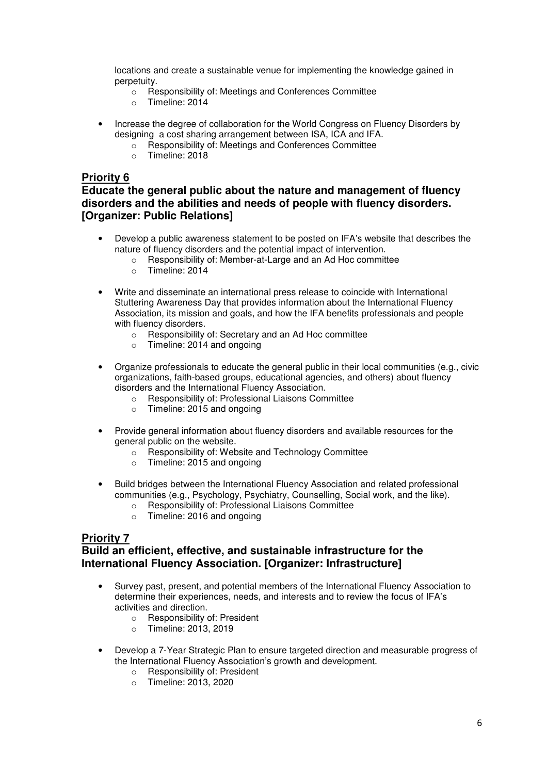locations and create a sustainable venue for implementing the knowledge gained in perpetuity.

- o Responsibility of: Meetings and Conferences Committee
- o Timeline: 2014
- Increase the degree of collaboration for the World Congress on Fluency Disorders by designing a cost sharing arrangement between ISA, ICA and IFA.
	- o Responsibility of: Meetings and Conferences Committee
	- o Timeline: 2018

#### **Priority 6**

### **Educate the general public about the nature and management of fluency disorders and the abilities and needs of people with fluency disorders. [Organizer: Public Relations]**

- Develop a public awareness statement to be posted on IFA's website that describes the nature of fluency disorders and the potential impact of intervention.
	- o Responsibility of: Member-at-Large and an Ad Hoc committee
	- o Timeline: 2014
- Write and disseminate an international press release to coincide with International Stuttering Awareness Day that provides information about the International Fluency Association, its mission and goals, and how the IFA benefits professionals and people with fluency disorders.
	- o Responsibility of: Secretary and an Ad Hoc committee
	- o Timeline: 2014 and ongoing
- Organize professionals to educate the general public in their local communities (e.g., civic organizations, faith-based groups, educational agencies, and others) about fluency disorders and the International Fluency Association.
	- o Responsibility of: Professional Liaisons Committee
	- o Timeline: 2015 and ongoing
- Provide general information about fluency disorders and available resources for the general public on the website.
	- o Responsibility of: Website and Technology Committee
	- o Timeline: 2015 and ongoing
- Build bridges between the International Fluency Association and related professional communities (e.g., Psychology, Psychiatry, Counselling, Social work, and the like).
	- o Responsibility of: Professional Liaisons Committee
	- o Timeline: 2016 and ongoing

#### **Priority 7**

## **Build an efficient, effective, and sustainable infrastructure for the International Fluency Association. [Organizer: Infrastructure]**

- Survey past, present, and potential members of the International Fluency Association to determine their experiences, needs, and interests and to review the focus of IFA's activities and direction.
	- o Responsibility of: President
	- o Timeline: 2013, 2019
- Develop a 7-Year Strategic Plan to ensure targeted direction and measurable progress of the International Fluency Association's growth and development.
	- o Responsibility of: President
	- o Timeline: 2013, 2020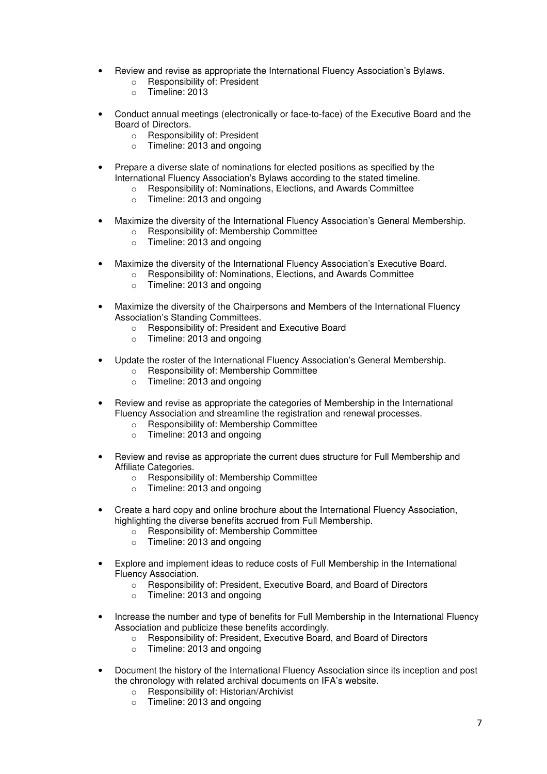- Review and revise as appropriate the International Fluency Association's Bylaws.
	- o Responsibility of: President
	- o Timeline: 2013
- Conduct annual meetings (electronically or face-to-face) of the Executive Board and the Board of Directors.
	- o Responsibility of: President
	- o Timeline: 2013 and ongoing
- Prepare a diverse slate of nominations for elected positions as specified by the International Fluency Association's Bylaws according to the stated timeline.
	- o Responsibility of: Nominations, Elections, and Awards Committee
	- o Timeline: 2013 and ongoing
- Maximize the diversity of the International Fluency Association's General Membership.
	- o Responsibility of: Membership Committee
	- o Timeline: 2013 and ongoing
- Maximize the diversity of the International Fluency Association's Executive Board.
	- o Responsibility of: Nominations, Elections, and Awards Committee
		- o Timeline: 2013 and ongoing
- Maximize the diversity of the Chairpersons and Members of the International Fluency Association's Standing Committees.
	- o Responsibility of: President and Executive Board
	- o Timeline: 2013 and ongoing
- Update the roster of the International Fluency Association's General Membership.
	- o Responsibility of: Membership Committee
	- o Timeline: 2013 and ongoing
- Review and revise as appropriate the categories of Membership in the International Fluency Association and streamline the registration and renewal processes.
	- o Responsibility of: Membership Committee
	- o Timeline: 2013 and ongoing
- Review and revise as appropriate the current dues structure for Full Membership and Affiliate Categories.
	- o Responsibility of: Membership Committee
	- o Timeline: 2013 and ongoing
- Create a hard copy and online brochure about the International Fluency Association, highlighting the diverse benefits accrued from Full Membership.
	- o Responsibility of: Membership Committee
	- o Timeline: 2013 and ongoing
- Explore and implement ideas to reduce costs of Full Membership in the International Fluency Association.
	- o Responsibility of: President, Executive Board, and Board of Directors
	- o Timeline: 2013 and ongoing
- Increase the number and type of benefits for Full Membership in the International Fluency Association and publicize these benefits accordingly.
	- o Responsibility of: President, Executive Board, and Board of Directors
	- o Timeline: 2013 and ongoing
- Document the history of the International Fluency Association since its inception and post the chronology with related archival documents on IFA's website.
	- o Responsibility of: Historian/Archivist
	- o Timeline: 2013 and ongoing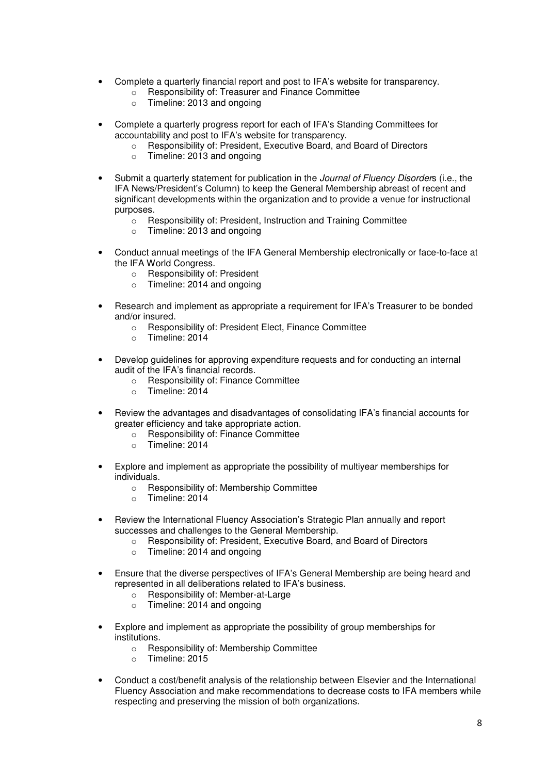- Complete a quarterly financial report and post to IFA's website for transparency.
	- o Responsibility of: Treasurer and Finance Committee
	- o Timeline: 2013 and ongoing
- Complete a quarterly progress report for each of IFA's Standing Committees for accountability and post to IFA's website for transparency.
	- o Responsibility of: President, Executive Board, and Board of Directors
	- o Timeline: 2013 and ongoing
- Submit a quarterly statement for publication in the *Journal of Fluency Disorders* (i.e., the IFA News/President's Column) to keep the General Membership abreast of recent and significant developments within the organization and to provide a venue for instructional purposes.
	- o Responsibility of: President, Instruction and Training Committee
	- o Timeline: 2013 and ongoing
- Conduct annual meetings of the IFA General Membership electronically or face-to-face at the IFA World Congress.
	- o Responsibility of: President
	- o Timeline: 2014 and ongoing
- Research and implement as appropriate a requirement for IFA's Treasurer to be bonded and/or insured.
	- o Responsibility of: President Elect, Finance Committee
	- o Timeline: 2014
- Develop guidelines for approving expenditure requests and for conducting an internal audit of the IFA's financial records.
	- o Responsibility of: Finance Committee
	- o Timeline: 2014
- Review the advantages and disadvantages of consolidating IFA's financial accounts for greater efficiency and take appropriate action.
	- o Responsibility of: Finance Committee
	- o Timeline: 2014
- Explore and implement as appropriate the possibility of multiyear memberships for individuals.
	- o Responsibility of: Membership Committee
	- o Timeline: 2014
- Review the International Fluency Association's Strategic Plan annually and report successes and challenges to the General Membership.
	- o Responsibility of: President, Executive Board, and Board of Directors
	- o Timeline: 2014 and ongoing
- Ensure that the diverse perspectives of IFA's General Membership are being heard and represented in all deliberations related to IFA's business.
	- o Responsibility of: Member-at-Large
	- o Timeline: 2014 and ongoing
- Explore and implement as appropriate the possibility of group memberships for institutions.
	- o Responsibility of: Membership Committee
	- o Timeline: 2015
- Conduct a cost/benefit analysis of the relationship between Elsevier and the International Fluency Association and make recommendations to decrease costs to IFA members while respecting and preserving the mission of both organizations.